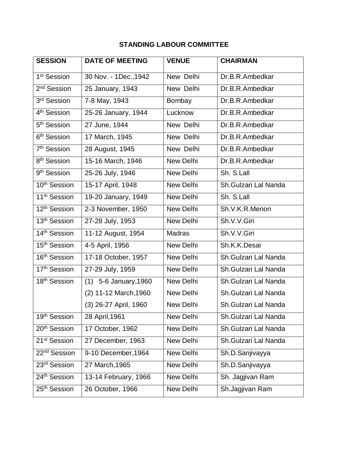## **STANDING LABOUR COMMITTEE**

| <b>SESSION</b>           | <b>DATE OF MEETING</b>   | <b>VENUE</b>     | <b>CHAIRMAN</b>      |
|--------------------------|--------------------------|------------------|----------------------|
| 1 <sup>st</sup> Session  | 30 Nov. - 1Dec., 1942    | New Delhi        | Dr.B.R.Ambedkar      |
| 2 <sup>nd</sup> Session  | 25 January, 1943         | New Delhi        | Dr.B.R.Ambedkar      |
| 3 <sup>rd</sup> Session  | 7-8 May, 1943            | Bombay           | Dr.B.R.Ambedkar      |
| 4 <sup>th</sup> Session  | 25-26 January, 1944      | Lucknow          | Dr.B.R.Ambedkar      |
| 5 <sup>th</sup> Session  | 27 June, 1944            | New Delhi        | Dr.B.R.Ambedkar      |
| 6 <sup>th</sup> Session  | 17 March, 1945           | New Delhi        | Dr.B.R.Ambedkar      |
| 7 <sup>th</sup> Session  | 28 August, 1945          | New Delhi        | Dr.B.R.Ambedkar      |
| 8 <sup>th</sup> Session  | 15-16 March, 1946        | New Delhi        | Dr.B.R.Ambedkar      |
| 9 <sup>th</sup> Session  | 25-26 July, 1946         | <b>New Delhi</b> | Sh. S.Lall           |
| 10 <sup>th</sup> Session | 15-17 April, 1948        | New Delhi        | Sh.Gulzari Lal Nanda |
| 11 <sup>th</sup> Session | 19-20 January, 1949      | New Delhi        | Sh. S.Lall           |
| 12 <sup>th</sup> Session | 2-3 November, 1950       | New Delhi        | Sh.V.K.R.Menon       |
| 13 <sup>th</sup> Session | 27-28 July, 1953         | <b>New Delhi</b> | Sh.V.V.Giri          |
| 14 <sup>th</sup> Session | 11-12 August, 1954       | <b>Madras</b>    | Sh.V.V.Giri          |
| 15 <sup>th</sup> Session | 4-5 April, 1956          | New Delhi        | Sh.K.K.Desai         |
| 16 <sup>th</sup> Session | 17-18 October, 1957      | New Delhi        | Sh.Gulzari Lal Nanda |
| 17 <sup>th</sup> Session | 27-29 July, 1959         | New Delhi        | Sh.Gulzari Lal Nanda |
| 18 <sup>th</sup> Session | 5-6 January, 1960<br>(1) | New Delhi        | Sh.Gulzari Lal Nanda |
|                          | (2) 11-12 March, 1960    | New Delhi        | Sh.Gulzari Lal Nanda |
|                          | (3) 26-27 April, 1960    | <b>New Delhi</b> | Sh.Gulzari Lal Nanda |
| 19th Session             | 28 April, 1961           | New Delhi        | Sh.Gulzari Lal Nanda |
| 20 <sup>th</sup> Session | 17 October, 1962         | New Delhi        | Sh.Gulzari Lal Nanda |
| 21 <sup>st</sup> Session | 27 December, 1963        | New Delhi        | Sh.Gulzari Lal Nanda |
| 22 <sup>nd</sup> Session | 9-10 December, 1964      | New Delhi        | Sh.D.Sanjivayya      |
| 23 <sup>rd</sup> Session | 27 March, 1965           | New Delhi        | Sh.D.Sanjivayya      |
| 24 <sup>th</sup> Session | 13-14 February, 1966     | New Delhi        | Sh. Jagjivan Ram     |
| 25 <sup>th</sup> Session | 26 October, 1966         | New Delhi        | Sh.Jagjivan Ram      |